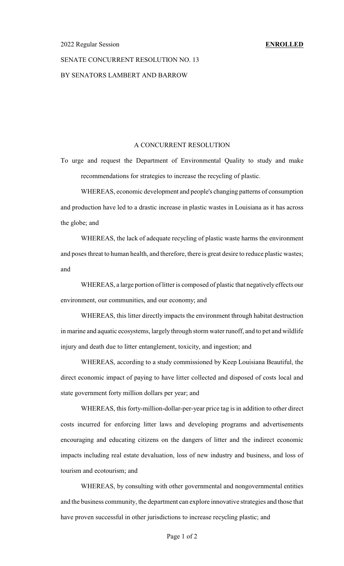## SENATE CONCURRENT RESOLUTION NO. 13 BY SENATORS LAMBERT AND BARROW

## A CONCURRENT RESOLUTION

To urge and request the Department of Environmental Quality to study and make recommendations for strategies to increase the recycling of plastic.

WHEREAS, economic development and people's changing patterns of consumption and production have led to a drastic increase in plastic wastes in Louisiana as it has across the globe; and

WHEREAS, the lack of adequate recycling of plastic waste harms the environment and poses threat to human health, and therefore, there is great desire to reduce plastic wastes; and

WHEREAS, a large portion of litter is composed of plastic that negatively effects our environment, our communities, and our economy; and

WHEREAS, this litter directly impacts the environment through habitat destruction in marine and aquatic ecosystems, largely through storm water runoff, and to pet and wildlife injury and death due to litter entanglement, toxicity, and ingestion; and

WHEREAS, according to a study commissioned by Keep Louisiana Beautiful, the direct economic impact of paying to have litter collected and disposed of costs local and state government forty million dollars per year; and

WHEREAS, this forty-million-dollar-per-year price tag is in addition to other direct costs incurred for enforcing litter laws and developing programs and advertisements encouraging and educating citizens on the dangers of litter and the indirect economic impacts including real estate devaluation, loss of new industry and business, and loss of tourism and ecotourism; and

WHEREAS, by consulting with other governmental and nongovernmental entities and the business community, the department can explore innovative strategies and those that have proven successful in other jurisdictions to increase recycling plastic; and